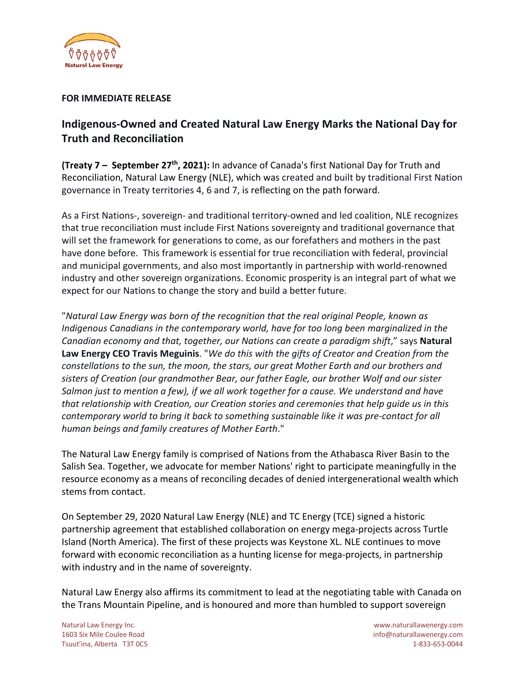

## **FOR IMMEDIATE RELEASE**

## **Indigenous-Owned and Created Natural Law Energy Marks the National Day for Truth and Reconciliation**

**(Treaty 7 – September 27th, 2021):** In advance of Canada's first National Day for Truth and Reconciliation, Natural Law Energy (NLE), which was created and built by traditional First Nation governance in Treaty territories 4, 6 and 7, is reflecting on the path forward.

As a First Nations-, sovereign- and traditional territory-owned and led coalition, NLE recognizes that true reconciliation must include First Nations sovereignty and traditional governance that will set the framework for generations to come, as our forefathers and mothers in the past have done before. This framework is essential for true reconciliation with federal, provincial and municipal governments, and also most importantly in partnership with world-renowned industry and other sovereign organizations. Economic prosperity is an integral part of what we expect for our Nations to change the story and build a better future.

"*Natural Law Energy was born of the recognition that the real original People, known as Indigenous Canadians in the contemporary world, have for too long been marginalized in the Canadian economy and that, together, our Nations can create a paradigm shift*," says **Natural Law Energy CEO Travis Meguinis**. "*We do this with the gifts of Creator and Creation from the constellations to the sun, the moon, the stars, our great Mother Earth and our brothers and sisters of Creation (our grandmother Bear, our father Eagle, our brother Wolf and our sister Salmon just to mention a few), if we all work together for a cause. We understand and have that relationship with Creation, our Creation stories and ceremonies that help guide us in this contemporary world to bring it back to something sustainable like it was pre-contact for all human beings and family creatures of Mother Earth*."

The Natural Law Energy family is comprised of Nations from the Athabasca River Basin to the Salish Sea. Together, we advocate for member Nations' right to participate meaningfully in the resource economy as a means of reconciling decades of denied intergenerational wealth which stems from contact.

On September 29, 2020 Natural Law Energy (NLE) and TC Energy (TCE) signed a historic partnership agreement that established collaboration on energy mega-projects across Turtle Island (North America). The first of these projects was Keystone XL. NLE continues to move forward with economic reconciliation as a hunting license for mega-projects, in partnership with industry and in the name of sovereignty.

Natural Law Energy also affirms its commitment to lead at the negotiating table with Canada on the Trans Mountain Pipeline, and is honoured and more than humbled to support sovereign